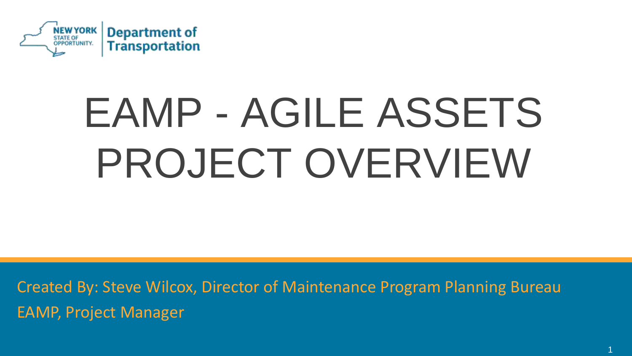

# EAMP - AGILE ASSETS PROJECT OVERVIEW

Created By: Steve Wilcox, Director of Maintenance Program Planning Bureau EAMP, Project Manager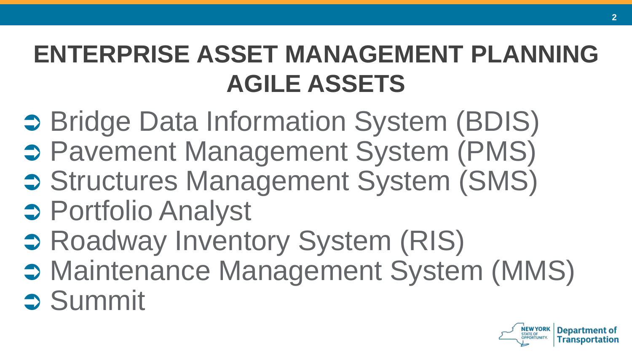# **ENTERPRISE ASSET MANAGEMENT PLANNING AGILE ASSETS**

- **⇒ Bridge Data Information System (BDIS)**
- **Pavement Management System (PMS)**
- **Structures Management System (SMS)**
- **Portfolio Analyst**
- **⇒ Roadway Inventory System (RIS)**
- **Communal Management System (MMS)**
- **Summit**

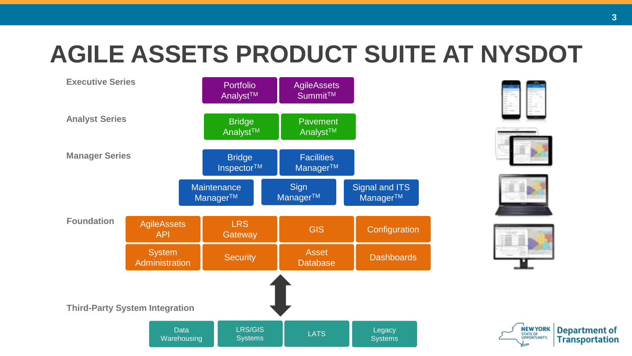## **AGILE ASSETS PRODUCT SUITE AT NYSDOT**









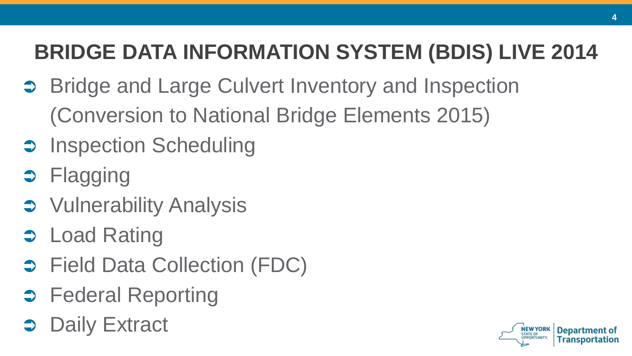## **BRIDGE DATA INFORMATION SYSTEM (BDIS) LIVE 2014**

- **Bridge and Large Culvert Inventory and Inspection** (Conversion to National Bridge Elements 2015)
- **Contains 1** Inspection Scheduling
- **D** Flagging
- $\supset$  Vulnerability Analysis
- **Coad Rating**
- **→ Field Data Collection (FDC)**
- **S** Federal Reporting
- Daily Extract

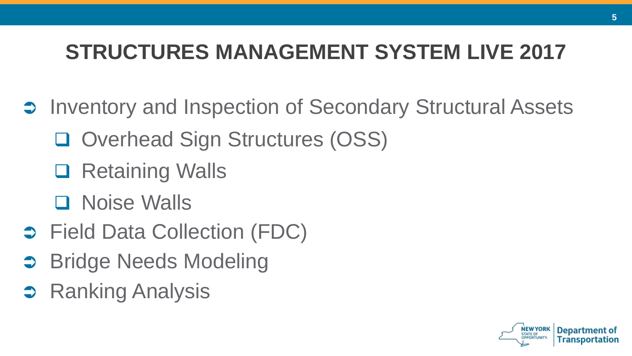### **STRUCTURES MANAGEMENT SYSTEM LIVE 2017**

- Inventory and Inspection of Secondary Structural Assets
	- Q Overhead Sign Structures (OSS)
	- **□ Retaining Walls**
	- Noise Walls
- **→ Field Data Collection (FDC)**
- **→ Bridge Needs Modeling**
- **B** Ranking Analysis

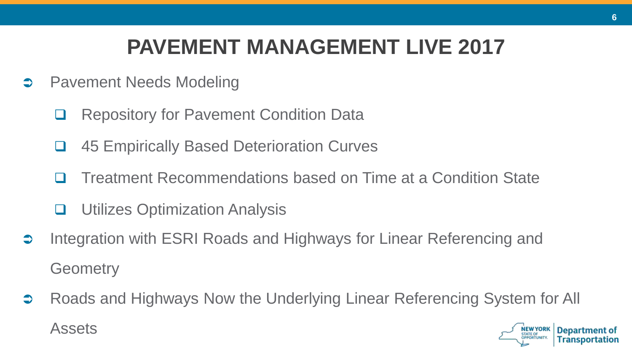### **PAVEMENT MANAGEMENT LIVE 2017**

- **Pavement Needs Modeling** 
	- **□** Repository for Pavement Condition Data
	- **□ 45 Empirically Based Deterioration Curves**
	- □ Treatment Recommendations based on Time at a Condition State
	- **u** Utilizes Optimization Analysis
- Integration with ESRI Roads and Highways for Linear Referencing and **Geometry**
- **→** Roads and Highways Now the Underlying Linear Referencing System for All Assets

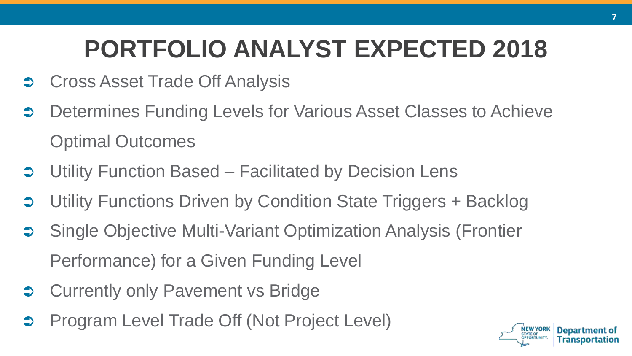# **PORTFOLIO ANALYST EXPECTED 2018**

- **Cross Asset Trade Off Analysis**
- Determines Funding Levels for Various Asset Classes to Achieve Optimal Outcomes
- Utility Function Based Facilitated by Decision Lens
- Utility Functions Driven by Condition State Triggers + Backlog
- Single Objective Multi-Variant Optimization Analysis (Frontier Performance) for a Given Funding Level
- **Currently only Pavement vs Bridge**
- Program Level Trade Off (Not Project Level)

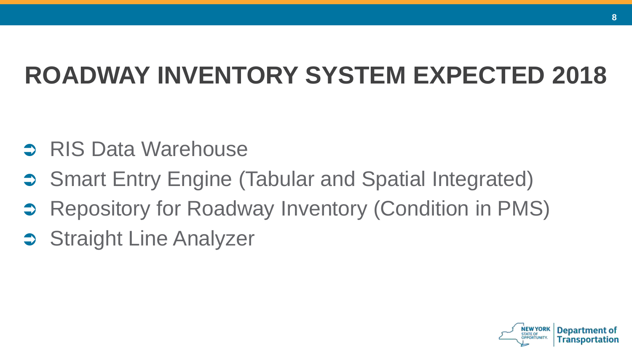# **ROADWAY INVENTORY SYSTEM EXPECTED 2018**

- **S. RIS Data Warehouse**
- **Smart Entry Engine (Tabular and Spatial Integrated)**
- **Repository for Roadway Inventory (Condition in PMS)**
- **Straight Line Analyzer**

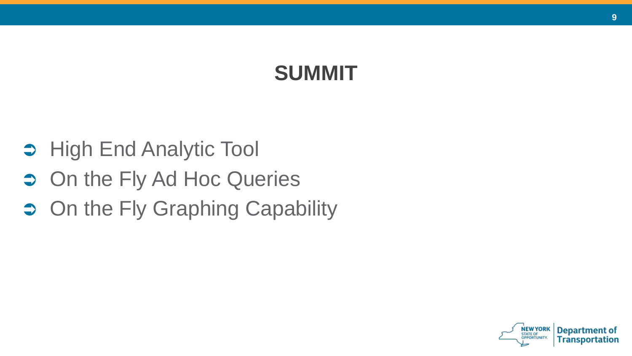### **SUMMIT**

- **B** High End Analytic Tool
- On the Fly Ad Hoc Queries
- On the Fly Graphing Capability

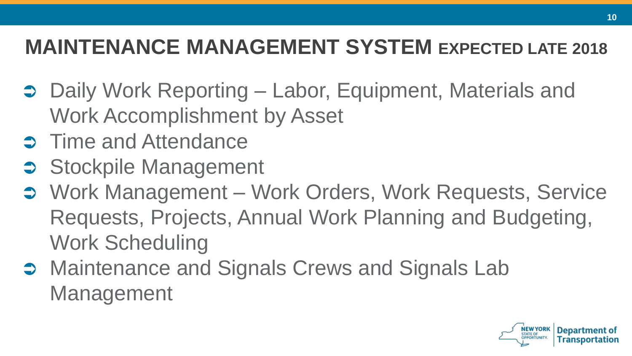### **MAINTENANCE MANAGEMENT SYSTEM EXPECTED LATE 2018**

- **→ Daily Work Reporting Labor, Equipment, Materials and** Work Accomplishment by Asset
- **Comparison Structure** Time and Attendance
- **Stockpile Management**
- Work Management Work Orders, Work Requests, Service Requests, Projects, Annual Work Planning and Budgeting, Work Scheduling
- $\Rightarrow$  Maintenance and Signals Crews and Signals Lab Management

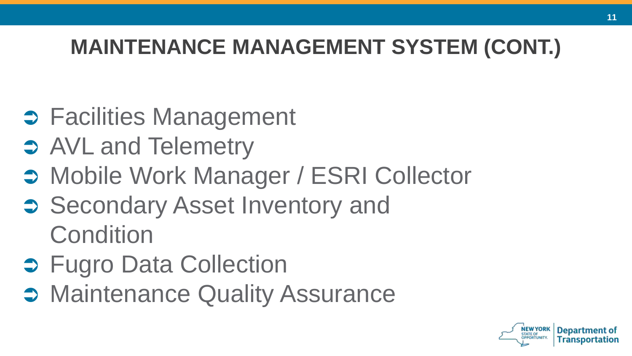### **MAINTENANCE MANAGEMENT SYSTEM (CONT.)**

- $\Rightarrow$  **Facilities Management**
- **CONTERNATE AVL and Telemetry**
- **→ Mobile Work Manager / ESRI Collector**
- **Secondary Asset Inventory and Condition**
- **→ Fugro Data Collection**
- **COMA** Maintenance Quality Assurance

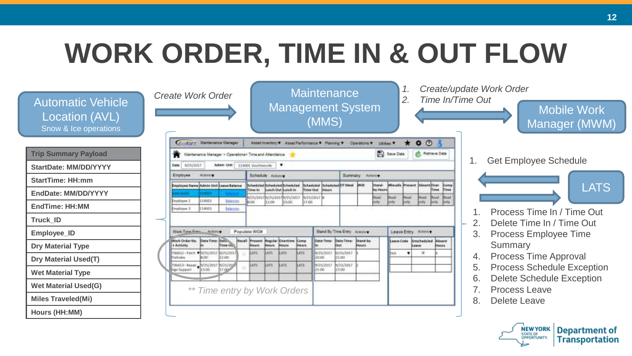# **WORK ORDER, TIME IN & OUT FLOW**



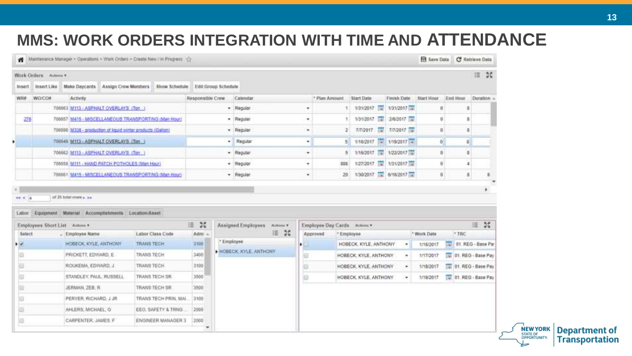#### **MMS: WORK ORDERS INTEGRATION WITH TIME AND ATTENDANCE**

|            |                                                                                                                                                         | Marrienance Manager » Operations » Yron, Orders » Create New / In Progress 17          |  |                       |                  |                                       |                                       |   |                               |                                          |                       |                                                                                        |                       | <b>B</b> Savy Data |    |          | C Retrieve Data        |  |
|------------|---------------------------------------------------------------------------------------------------------------------------------------------------------|----------------------------------------------------------------------------------------|--|-----------------------|------------------|---------------------------------------|---------------------------------------|---|-------------------------------|------------------------------------------|-----------------------|----------------------------------------------------------------------------------------|-----------------------|--------------------|----|----------|------------------------|--|
|            | Work Orders Actions *                                                                                                                                   |                                                                                        |  |                       |                  |                                       |                                       |   |                               |                                          |                       |                                                                                        |                       |                    |    |          | 三芸                     |  |
| Insert     | Innert Like                                                                                                                                             | Make Daycards Assign Crew Members                                                      |  | Show Schedule         |                  | Edit Group Schedule                   |                                       |   |                               |                                          |                       |                                                                                        |                       |                    |    |          |                        |  |
| <b>WR#</b> | <b>WO/CO#</b>                                                                                                                                           | Activity                                                                               |  |                       | Responsible Crew |                                       | Calendar                              |   |                               | <sup>+</sup> Plan Amount                 | Start Date            |                                                                                        | Finish Date           | <b>Start Hour</b>  |    | End Hour | <b>Duration</b>        |  |
|            |                                                                                                                                                         | 796663 M113 - ASPHALT OVERLAYS (Ton 1)                                                 |  |                       |                  |                                       | · Regular                             |   | ۰                             |                                          | 1/31/2017             |                                                                                        | 1/31/2017             | O.                 |    | ŝ        |                        |  |
| 276        | 706657 M415 - MISCELLANEOUS TRANSPORTING (Man Hour)<br>706698 M338 - production of ligald winter products (Gallon)<br>706649 M113-ASPHALT OVERLAYS (Ton |                                                                                        |  |                       |                  | · Regular<br>$+$ Regular<br>- Regular |                                       | ٠ |                               |                                          |                       | 1/31/2017 28/2017                                                                      | 0                     |                    | ۵  |          |                        |  |
|            |                                                                                                                                                         |                                                                                        |  |                       |                  |                                       |                                       | ۰ | 2<br>51<br>٠<br>5<br>888<br>٠ | 7/7/2017                                 |                       | 7/7/2017<br>1/16/2017 Sat. 1/19/2017 [A]<br>1/16/2017 1/22/2017<br>1/27/2017 1/31/2017 |                       | G<br>ö)            | š  |          |                        |  |
|            |                                                                                                                                                         |                                                                                        |  |                       |                  |                                       |                                       | ۰ |                               |                                          |                       |                                                                                        |                       |                    | 8  |          |                        |  |
|            |                                                                                                                                                         | 706662 M113 - ASPHALT OVERLAYS (Ton. )<br>706558 M111 - HAND PATCH POTHOLES (Man Hour) |  |                       |                  | · Regular<br>· Regular                |                                       |   |                               |                                          |                       |                                                                                        |                       | ù.                 | ä  |          |                        |  |
|            |                                                                                                                                                         |                                                                                        |  |                       |                  |                                       |                                       |   |                               |                                          |                       |                                                                                        |                       | Q.                 | 4  |          |                        |  |
|            |                                                                                                                                                         | 706551 M415 - MISCELLANEOUS TRANSPORTING (Man Hour)                                    |  |                       |                  |                                       | · Regular                             |   | ×.                            | $20^{\circ}$                             |                       |                                                                                        | 1/30/2017   6/16/2017 |                    | O. | 8        |                        |  |
| Labor      |                                                                                                                                                         | Equipment Material Accomplishments Location/Asset.                                     |  |                       |                  |                                       |                                       |   |                               |                                          |                       |                                                                                        |                       |                    |    |          |                        |  |
| Solect     | Employees Short List Actions                                                                                                                            | - Employee Name                                                                        |  | Labor Class Code      | 三 其<br>Adm.      |                                       | Assigned Employees<br>Addons #<br>三 其 |   |                               | Employee Day Cards Actions *<br>Approved | * Employee            |                                                                                        |                       | * Work Date        |    | * TRC    | 三 其                    |  |
| ۰.         |                                                                                                                                                         | HOBECK, KYLE, ANTHONY                                                                  |  | <b>TRANS TECH</b>     | 3100             | * Employee                            |                                       |   |                               |                                          | HOBECK, KYLE, ANTHONY |                                                                                        |                       | 1/16/2017          |    |          | 541 01 REG - Base Par  |  |
|            |                                                                                                                                                         | PRICKETT, EDWARD, E                                                                    |  | TRANS TECH            | 3400             |                                       | <b>I HOBECK KYLE ANTHONY</b>          |   | ю                             |                                          | HOBECK, KYLE, ANTHONY |                                                                                        |                       | 1/17/2017          |    |          | (3) 01. REG - Base Pay |  |
|            |                                                                                                                                                         | ROUKEMA, EDWARD, J                                                                     |  | TRANS TECH            | 3100             |                                       |                                       |   | B                             |                                          | HOBECK, KYLE, ANTHONY |                                                                                        | ٠<br>۰                | 1/18/2017          |    |          | [3] 01. REG - Base Pay |  |
|            |                                                                                                                                                         | STANDLEY, PAUL, RUSSELL                                                                |  | TRANS TECH SR         | 3500             |                                       |                                       |   | 追                             |                                          | HOBECK, KYLE, ANTHONY |                                                                                        | ۰                     | 1/19/2017          |    |          | [U] 01. REG - Base Pay |  |
| 冊          |                                                                                                                                                         | JERMAN, ZEB, R                                                                         |  | TRANS-TECH SR         | 3500             |                                       |                                       |   |                               |                                          |                       |                                                                                        |                       |                    |    |          |                        |  |
| ю          |                                                                                                                                                         | PERVER RICHARD, J JR                                                                   |  | TRANS TECH PRIN, MAI. | 3100             |                                       |                                       |   |                               |                                          |                       |                                                                                        |                       |                    |    |          |                        |  |
|            |                                                                                                                                                         | AHLERS, MICHAEL, G                                                                     |  | EEO, SAFETY & TRNG.   | 2000             |                                       |                                       |   |                               |                                          |                       |                                                                                        |                       |                    |    |          |                        |  |
|            |                                                                                                                                                         | CARPENTER, JAMES. F.                                                                   |  | ENGINEER MANAGER 3    | 2000<br>٠        |                                       |                                       |   |                               |                                          |                       |                                                                                        |                       |                    |    |          |                        |  |

NEW YORK Department of **Transportation**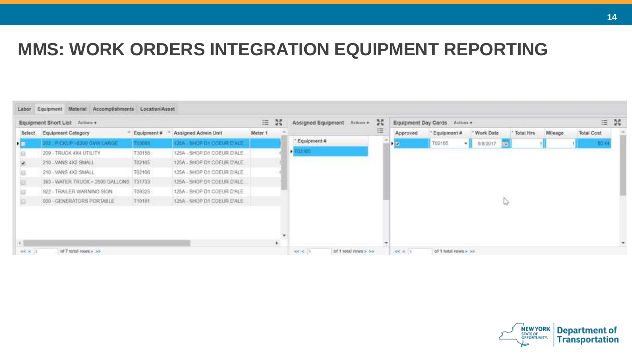#### **MMS: WORK ORDERS INTEGRATION EQUIPMENT REPORTING**

| Equipment Short List Actions |                                  |            |                            |         | 20 | Assigned Equipment Actions | -20 |              | Equipment Day Cards: Actions + |           | 三 其         |         |                   |        |
|------------------------------|----------------------------------|------------|----------------------------|---------|----|----------------------------|-----|--------------|--------------------------------|-----------|-------------|---------|-------------------|--------|
| Select.                      | Equipment Category               | Equipment# | Assigned Admin Unit        | Meter 1 |    |                            | 猫   | Approved     | " Equipment #                  | Work Date | Total Hrs   | Mileage | <b>Total Cost</b> |        |
| $\mathbf{r}$                 | 202 - PICKUP +6200 GWW.LARGE     | 133888     | 126A - SHOP D1 COEUR D'ALE |         |    | Equipment #                |     | $\mathbf{F}$ | T02165<br>$-11$                | 5/8/2017  | <b>Fall</b> |         |                   | \$0.44 |
|                              | 209 - TRUCK 4X4 UTILITY          | T30156     | 125A - SHOP D1 COEUR D'ALE |         |    | 102165<br>ы                |     |              |                                |           |             |         |                   |        |
| ×                            | 210 - VANS 4X2 SMALL             | T02165     | 125A - SHOP D1 COEUR D'ALE |         |    |                            |     |              |                                |           |             |         |                   |        |
|                              | 210 - VANS 4X2 SMALL             | T02166     | 125A - SHOP D1 COEUR D'ALE |         |    |                            |     |              |                                |           |             |         |                   |        |
|                              | 393 - WATER TRUCK > 2500 GALLONS | T31733     | 125A - SHOP D1 COEUR D'ALE |         |    |                            |     |              |                                |           |             |         |                   |        |
|                              | 922 - TRAILER WARNING SIGN       | T09325     | 125A - SHOP D1 COEUR D'ALE |         |    |                            |     |              |                                |           |             |         |                   |        |
|                              | 930 - GENERATORS PORTABLE        | T10181     | 125A - SHOP D1 COEUR D'ALE |         |    |                            |     |              |                                |           | ▷           |         |                   |        |
|                              |                                  |            |                            |         |    |                            |     |              |                                |           |             |         |                   |        |

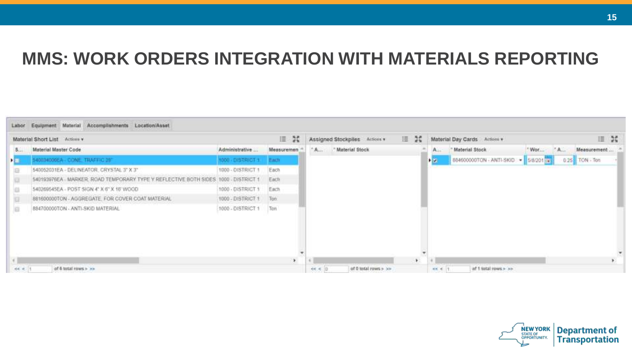#### **MMS: WORK ORDERS INTEGRATION WITH MATERIALS REPORTING**

| Labor Equipment Material Accomplishments Location/Asset |                                                                   |                    |             |                                      |                      |    |                                   |                                     |                     |                  |  |  |
|---------------------------------------------------------|-------------------------------------------------------------------|--------------------|-------------|--------------------------------------|----------------------|----|-----------------------------------|-------------------------------------|---------------------|------------------|--|--|
|                                                         | Material Short List Actions v                                     |                    | $\equiv$ M  | 三 試<br>Assigned Stockpiles Actions + |                      |    | 三 其<br>Material Day Cards Actions |                                     |                     |                  |  |  |
| $S_{\cdots}$                                            | Material Master Code                                              | Administrative     | Measuremen  | $A_{\cdots}$                         | " Material Stock     |    | A                                 | " Material Stock                    | Wor<br>$A_{\cdots}$ | Measurement      |  |  |
| $\mathbf{F}$                                            | 540004006EA - CONE_TRAFFIC 39"                                    | 1000 DISTRICT EACH |             |                                      |                      |    | P.M.                              | 884600000TON - ANTI-SKID - 58/201 - |                     | $0.25$ TON - Ton |  |  |
|                                                         | 540052031EA - DELINEATOR, CRYSTAL 3" X 3"                         | 1000 - DISTRICT 1  | Each        |                                      |                      |    |                                   |                                     |                     |                  |  |  |
|                                                         | 540193976EA - MARKER: ROAD TEMPORARY TYPE Y REFLECTIVE BOTH SIDES | 1000 - DISTRICT 1  | Each        |                                      |                      |    |                                   |                                     |                     |                  |  |  |
|                                                         | 540269545EA - POST SIGN 4" X 6" X 16" WOOD                        | 1000 - DISTRICT 1  | Each        |                                      |                      |    |                                   |                                     |                     |                  |  |  |
|                                                         | 881600000TON - AGGREGATE, FOR COVER COAT MATERIAL                 | 1000 - DISTRICT 1  | Ton:        |                                      |                      |    |                                   |                                     |                     |                  |  |  |
|                                                         | 884700000TON - ANTI-SKID MATERIAL                                 | 1000 - DISTRICT 1  | <b>30ft</b> |                                      |                      |    |                                   |                                     |                     |                  |  |  |
| E E E                                                   | of 6 tutal raws > >>                                              |                    | ٠           | $ee \in 10$                          | of 0 total rows > >> | ×. | $-0.4$ 11                         | of 1 listal rows > >>               |                     |                  |  |  |

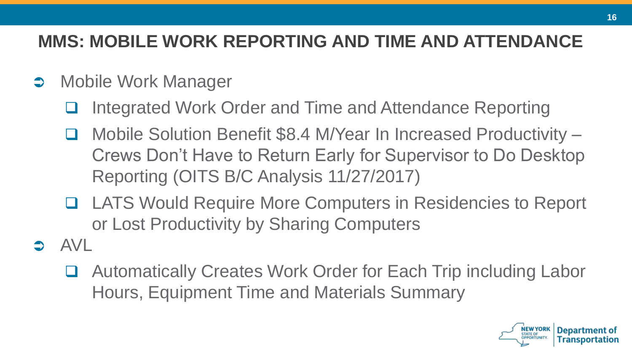#### **MMS: MOBILE WORK REPORTING AND TIME AND ATTENDANCE**

- **D** Mobile Work Manager
	- Integrated Work Order and Time and Attendance Reporting
	- □ Mobile Solution Benefit \$8.4 M/Year In Increased Productivity Crews Don't Have to Return Early for Supervisor to Do Desktop Reporting (OITS B/C Analysis 11/27/2017)
	- LATS Would Require More Computers in Residencies to Report or Lost Productivity by Sharing Computers
- AVL
	- Automatically Creates Work Order for Each Trip including Labor Hours, Equipment Time and Materials Summary

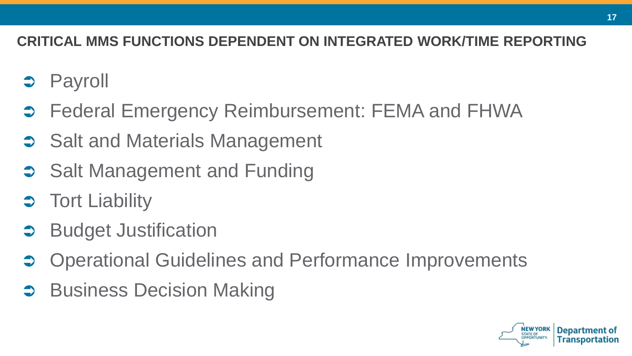#### **CRITICAL MMS FUNCTIONS DEPENDENT ON INTEGRATED WORK/TIME REPORTING**

- $\Rightarrow$  Payroll
- **Federal Emergency Reimbursement: FEMA and FHWA**
- **Salt and Materials Management**
- **Salt Management and Funding**
- **Contingled Tort Liability**
- Budget Justification
- Operational Guidelines and Performance Improvements
- Business Decision Making

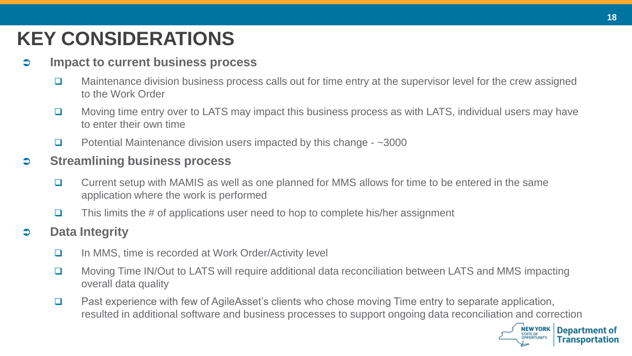### **KEY CONSIDERATIONS**

#### $\supset$  **Impact to current business process**

- $\Box$  Maintenance division business process calls out for time entry at the supervisor level for the crew assigned to the Work Order
- $\Box$  Moving time entry over to LATS may impact this business process as with LATS, individual users may have to enter their own time
- **D** Potential Maintenance division users impacted by this change  $-$  ~3000
- **Streamlining business process** 
	- Current setup with MAMIS as well as one planned for MMS allows for time to be entered in the same application where the work is performed
	- $\Box$  This limits the # of applications user need to hop to complete his/her assignment

#### **Data Integrity**

- $\Box$  In MMS, time is recorded at Work Order/Activity level
- Moving Time IN/Out to LATS will require additional data reconciliation between LATS and MMS impacting overall data quality
- □ Past experience with few of AgileAsset's clients who chose moving Time entry to separate application, resulted in additional software and business processes to support ongoing data reconciliation and correction



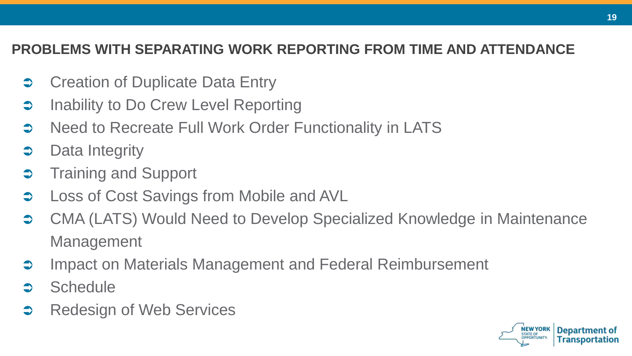#### **PROBLEMS WITH SEPARATING WORK REPORTING FROM TIME AND ATTENDANCE**

- **Creation of Duplicate Data Entry**
- Inability to Do Crew Level Reporting
- **D** Need to Recreate Full Work Order Functionality in LATS
- $\Rightarrow$  Data Integrity
- **Training and Support**
- **Coss of Cost Savings from Mobile and AVL**
- **→ CMA (LATS) Would Need to Develop Specialized Knowledge in Maintenance** Management
- **Combination System Management and Federal Reimbursement**
- **Schedule**
- **C** Redesign of Web Services

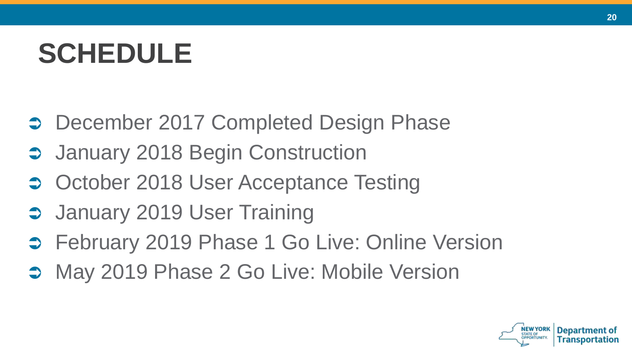# **SCHEDULE**

- **December 2017 Completed Design Phase**
- **→ January 2018 Begin Construction**
- October 2018 User Acceptance Testing
- **January 2019 User Training**
- **→ February 2019 Phase 1 Go Live: Online Version**
- **→ May 2019 Phase 2 Go Live: Mobile Version**